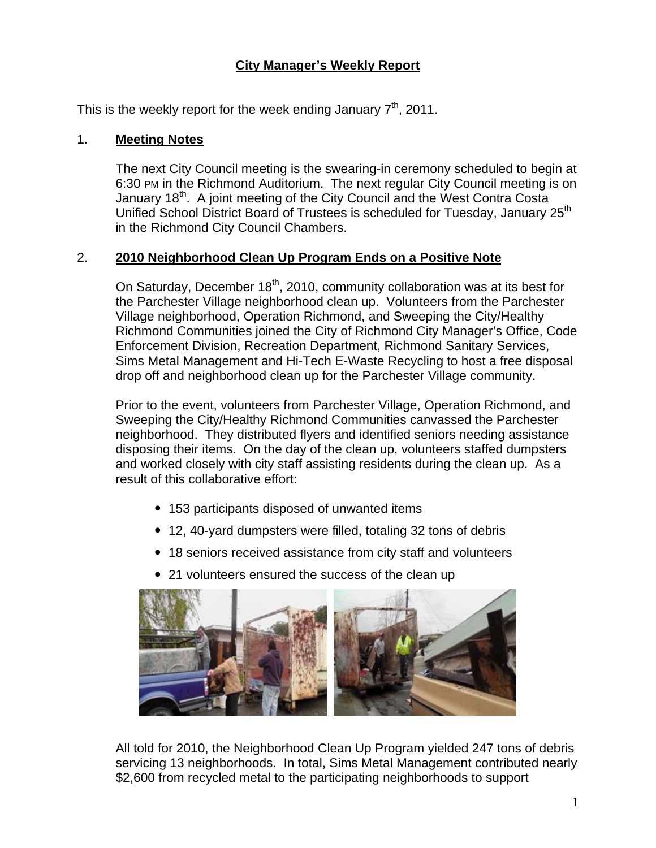# **City Manager's Weekly Report**

This is the weekly report for the week ending January  $7<sup>th</sup>$ , 2011.

#### 1. **Meeting Notes**

The next City Council meeting is the swearing-in ceremony scheduled to begin at 6:30 PM in the Richmond Auditorium. The next regular City Council meeting is on January 18<sup>th</sup>. A joint meeting of the City Council and the West Contra Costa Unified School District Board of Trustees is scheduled for Tuesday, January 25<sup>th</sup> in the Richmond City Council Chambers.

### 2. **2010 Neighborhood Clean Up Program Ends on a Positive Note**

On Saturday, December  $18<sup>th</sup>$ , 2010, community collaboration was at its best for the Parchester Village neighborhood clean up. Volunteers from the Parchester Village neighborhood, Operation Richmond, and Sweeping the City/Healthy Richmond Communities joined the City of Richmond City Manager's Office, Code Enforcement Division, Recreation Department, Richmond Sanitary Services, Sims Metal Management and Hi-Tech E-Waste Recycling to host a free disposal drop off and neighborhood clean up for the Parchester Village community.

Prior to the event, volunteers from Parchester Village, Operation Richmond, and Sweeping the City/Healthy Richmond Communities canvassed the Parchester neighborhood. They distributed flyers and identified seniors needing assistance disposing their items. On the day of the clean up, volunteers staffed dumpsters and worked closely with city staff assisting residents during the clean up. As a result of this collaborative effort:

- 153 participants disposed of unwanted items
- 12, 40-yard dumpsters were filled, totaling 32 tons of debris
- 18 seniors received assistance from city staff and volunteers
- 21 volunteers ensured the success of the clean up



All told for 2010, the Neighborhood Clean Up Program yielded 247 tons of debris servicing 13 neighborhoods. In total, Sims Metal Management contributed nearly \$2,600 from recycled metal to the participating neighborhoods to support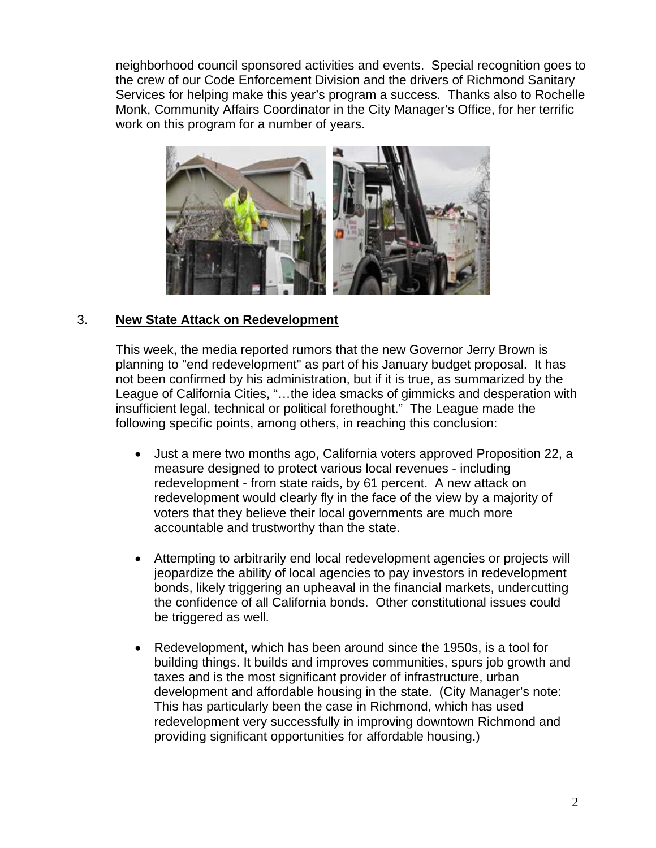neighborhood council sponsored activities and events. Special recognition goes to the crew of our Code Enforcement Division and the drivers of Richmond Sanitary Services for helping make this year's program a success. Thanks also to Rochelle Monk, Community Affairs Coordinator in the City Manager's Office, for her terrific work on this program for a number of years.



### 3. **New State Attack on Redevelopment**

This week, the media reported rumors that the new Governor Jerry Brown is planning to "end redevelopment" as part of his January budget proposal. It has not been confirmed by his administration, but if it is true, as summarized by the League of California Cities, "…the idea smacks of gimmicks and desperation with insufficient legal, technical or political forethought." The League made the following specific points, among others, in reaching this conclusion:

- Just a mere two months ago, California voters approved Proposition 22, a measure designed to protect various local revenues - including redevelopment - from state raids, by 61 percent. A new attack on redevelopment would clearly fly in the face of the view by a majority of voters that they believe their local governments are much more accountable and trustworthy than the state.
- Attempting to arbitrarily end local redevelopment agencies or projects will jeopardize the ability of local agencies to pay investors in redevelopment bonds, likely triggering an upheaval in the financial markets, undercutting the confidence of all California bonds. Other constitutional issues could be triggered as well.
- Redevelopment, which has been around since the 1950s, is a tool for building things. It builds and improves communities, spurs job growth and taxes and is the most significant provider of infrastructure, urban development and affordable housing in the state. (City Manager's note: This has particularly been the case in Richmond, which has used redevelopment very successfully in improving downtown Richmond and providing significant opportunities for affordable housing.)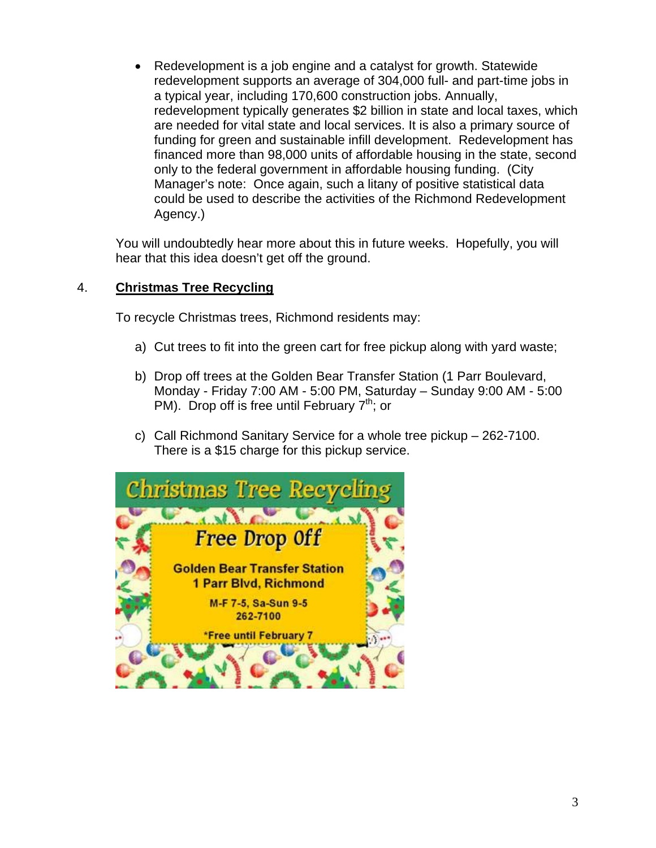Redevelopment is a job engine and a catalyst for growth. Statewide redevelopment supports an average of 304,000 full- and part-time jobs in a typical year, including 170,600 construction jobs. Annually, redevelopment typically generates \$2 billion in state and local taxes, which are needed for vital state and local services. It is also a primary source of funding for green and sustainable infill development. Redevelopment has financed more than 98,000 units of affordable housing in the state, second only to the federal government in affordable housing funding. (City Manager's note: Once again, such a litany of positive statistical data could be used to describe the activities of the Richmond Redevelopment Agency.)

You will undoubtedly hear more about this in future weeks. Hopefully, you will hear that this idea doesn't get off the ground.

### 4. **Christmas Tree Recycling**

To recycle Christmas trees, Richmond residents may:

- a) Cut trees to fit into the green cart for free pickup along with yard waste;
- b) Drop off trees at the Golden Bear Transfer Station (1 Parr Boulevard, Monday - Friday 7:00 AM - 5:00 PM, Saturday – Sunday 9:00 AM - 5:00 PM). Drop off is free until February  $7<sup>th</sup>$ ; or
- c) Call Richmond Sanitary Service for a whole tree pickup 262-7100. There is a \$15 charge for this pickup service.

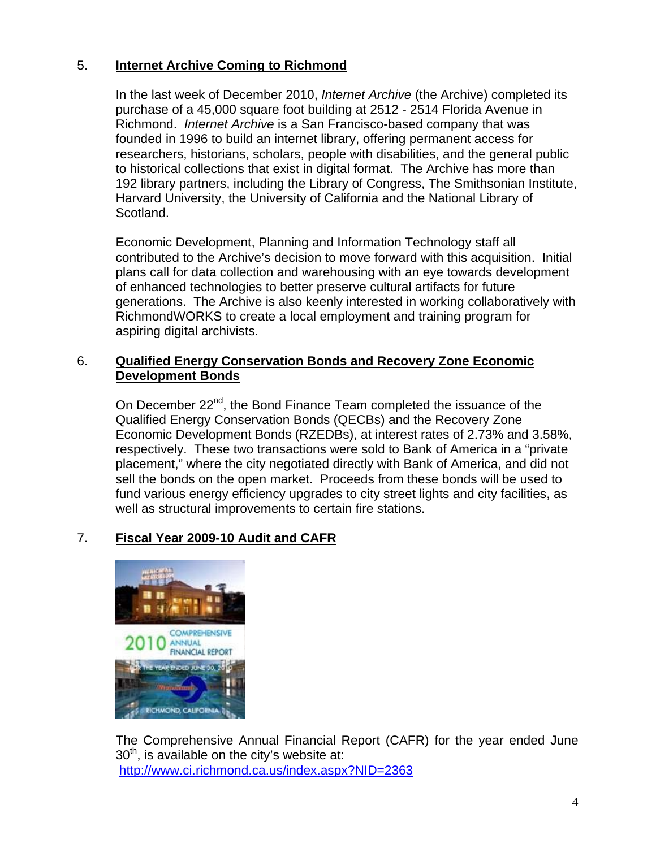## 5. **Internet Archive Coming to Richmond**

In the last week of December 2010, *Internet Archive* (the Archive) completed its purchase of a 45,000 square foot building at 2512 - 2514 Florida Avenue in Richmond. *Internet Archive* is a San Francisco-based company that was founded in 1996 to build an internet library, offering permanent access for researchers, historians, scholars, people with disabilities, and the general public to historical collections that exist in digital format. The Archive has more than 192 library partners, including the Library of Congress, The Smithsonian Institute, Harvard University, the University of California and the National Library of Scotland.

Economic Development, Planning and Information Technology staff all contributed to the Archive's decision to move forward with this acquisition. Initial plans call for data collection and warehousing with an eye towards development of enhanced technologies to better preserve cultural artifacts for future generations. The Archive is also keenly interested in working collaboratively with RichmondWORKS to create a local employment and training program for aspiring digital archivists.

### 6. **Qualified Energy Conservation Bonds and Recovery Zone Economic Development Bonds**

On December 22<sup>nd</sup>, the Bond Finance Team completed the issuance of the Qualified Energy Conservation Bonds (QECBs) and the Recovery Zone Economic Development Bonds (RZEDBs), at interest rates of 2.73% and 3.58%, respectively. These two transactions were sold to Bank of America in a "private placement," where the city negotiated directly with Bank of America, and did not sell the bonds on the open market. Proceeds from these bonds will be used to fund various energy efficiency upgrades to city street lights and city facilities, as well as structural improvements to certain fire stations.

# 7. **Fiscal Year 2009-10 Audit and CAFR**



The Comprehensive Annual Financial Report (CAFR) for the year ended June  $30<sup>th</sup>$ , is available on the city's website at: <http://www.ci.richmond.ca.us/index.aspx?NID=2363>